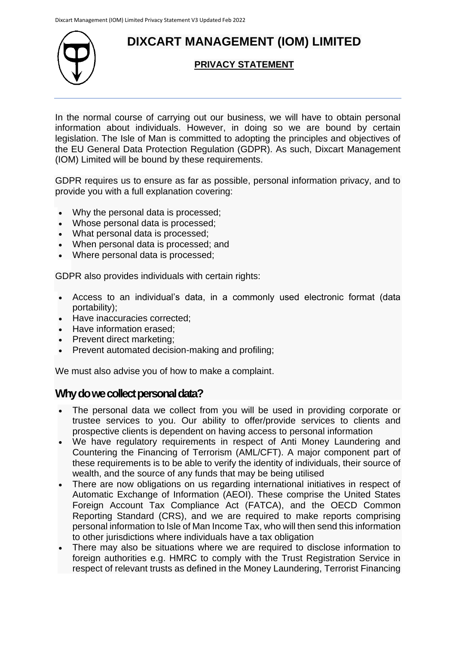# **DIXCART MANAGEMENT (IOM) LIMITED**



### **PRIVACY STATEMENT**

In the normal course of carrying out our business, we will have to obtain personal information about individuals. However, in doing so we are bound by certain legislation. The Isle of Man is committed to adopting the principles and objectives of the EU General Data Protection Regulation (GDPR). As such, Dixcart Management (IOM) Limited will be bound by these requirements.

GDPR requires us to ensure as far as possible, personal information privacy, and to provide you with a full explanation covering:

- Why the personal data is processed;
- Whose personal data is processed;
- What personal data is processed;
- When personal data is processed; and
- Where personal data is processed;

GDPR also provides individuals with certain rights:

- Access to an individual's data, in a commonly used electronic format (data portability);
- Have inaccuracies corrected;
- Have information erased;
- Prevent direct marketing;
- Prevent automated decision-making and profiling;

We must also advise you of how to make a complaint.

### **Why do we collect personal data?**

- The personal data we collect from you will be used in providing corporate or trustee services to you. Our ability to offer/provide services to clients and prospective clients is dependent on having access to personal information
- We have regulatory requirements in respect of Anti Money Laundering and Countering the Financing of Terrorism (AML/CFT). A major component part of these requirements is to be able to verify the identity of individuals, their source of wealth, and the source of any funds that may be being utilised
- There are now obligations on us regarding international initiatives in respect of Automatic Exchange of Information (AEOI). These comprise the United States Foreign Account Tax Compliance Act (FATCA), and the OECD Common Reporting Standard (CRS), and we are required to make reports comprising personal information to Isle of Man Income Tax, who will then send this information to other jurisdictions where individuals have a tax obligation
- There may also be situations where we are required to disclose information to foreign authorities e.g. HMRC to comply with the Trust Registration Service in respect of relevant trusts as defined in the Money Laundering, Terrorist Financing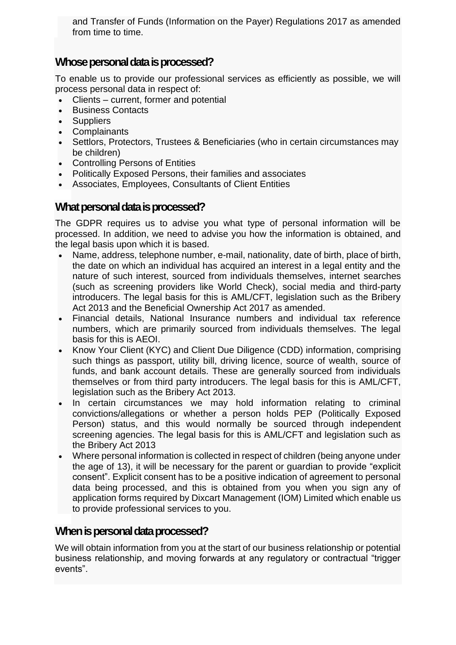and Transfer of Funds (Information on the Payer) Regulations 2017 as amended from time to time.

## **Whose personal data is processed?**

To enable us to provide our professional services as efficiently as possible, we will process personal data in respect of:

- Clients current, former and potential
- Business Contacts
- **Suppliers**
- **Complainants**
- Settlors, Protectors, Trustees & Beneficiaries (who in certain circumstances may be children)
- Controlling Persons of Entities
- Politically Exposed Persons, their families and associates
- Associates, Employees, Consultants of Client Entities

## **What personal data is processed?**

The GDPR requires us to advise you what type of personal information will be processed. In addition, we need to advise you how the information is obtained, and the legal basis upon which it is based.

- Name, address, telephone number, e-mail, nationality, date of birth, place of birth, the date on which an individual has acquired an interest in a legal entity and the nature of such interest, sourced from individuals themselves, internet searches (such as screening providers like World Check), social media and third-party introducers. The legal basis for this is AML/CFT, legislation such as the Bribery Act 2013 and the Beneficial Ownership Act 2017 as amended.
- Financial details, National Insurance numbers and individual tax reference numbers, which are primarily sourced from individuals themselves. The legal basis for this is AEOI.
- Know Your Client (KYC) and Client Due Diligence (CDD) information, comprising such things as passport, utility bill, driving licence, source of wealth, source of funds, and bank account details. These are generally sourced from individuals themselves or from third party introducers. The legal basis for this is AML/CFT, legislation such as the Bribery Act 2013.
- In certain circumstances we may hold information relating to criminal convictions/allegations or whether a person holds PEP (Politically Exposed Person) status, and this would normally be sourced through independent screening agencies. The legal basis for this is AML/CFT and legislation such as the Bribery Act 2013
- Where personal information is collected in respect of children (being anyone under the age of 13), it will be necessary for the parent or guardian to provide "explicit consent". Explicit consent has to be a positive indication of agreement to personal data being processed, and this is obtained from you when you sign any of application forms required by Dixcart Management (IOM) Limited which enable us to provide professional services to you.

## **When is personal data processed?**

We will obtain information from you at the start of our business relationship or potential business relationship, and moving forwards at any regulatory or contractual "trigger events".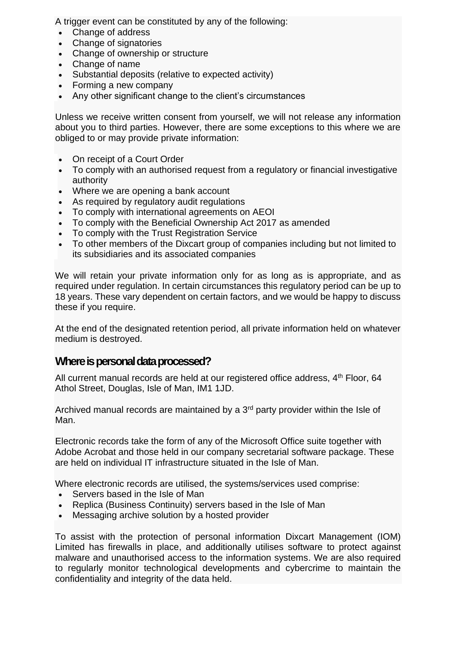A trigger event can be constituted by any of the following:

- Change of address
- Change of signatories
- Change of ownership or structure
- Change of name
- Substantial deposits (relative to expected activity)
- Forming a new company
- Any other significant change to the client's circumstances

Unless we receive written consent from yourself, we will not release any information about you to third parties. However, there are some exceptions to this where we are obliged to or may provide private information:

- On receipt of a Court Order
- To comply with an authorised request from a regulatory or financial investigative authority
- Where we are opening a bank account
- As required by requiatory audit requiations
- To comply with international agreements on AEOI
- To comply with the Beneficial Ownership Act 2017 as amended
- To comply with the Trust Registration Service
- To other members of the Dixcart group of companies including but not limited to its subsidiaries and its associated companies

We will retain your private information only for as long as is appropriate, and as required under regulation. In certain circumstances this regulatory period can be up to 18 years. These vary dependent on certain factors, and we would be happy to discuss these if you require.

At the end of the designated retention period, all private information held on whatever medium is destroyed.

### **Where is personal data processed?**

All current manual records are held at our registered office address, 4<sup>th</sup> Floor, 64 Athol Street, Douglas, Isle of Man, IM1 1JD.

Archived manual records are maintained by a  $3<sup>rd</sup>$  party provider within the Isle of Man.

Electronic records take the form of any of the Microsoft Office suite together with Adobe Acrobat and those held in our company secretarial software package. These are held on individual IT infrastructure situated in the Isle of Man.

Where electronic records are utilised, the systems/services used comprise:

- Servers based in the Isle of Man
- Replica (Business Continuity) servers based in the Isle of Man
- Messaging archive solution by a hosted provider

To assist with the protection of personal information Dixcart Management (IOM) Limited has firewalls in place, and additionally utilises software to protect against malware and unauthorised access to the information systems. We are also required to regularly monitor technological developments and cybercrime to maintain the confidentiality and integrity of the data held.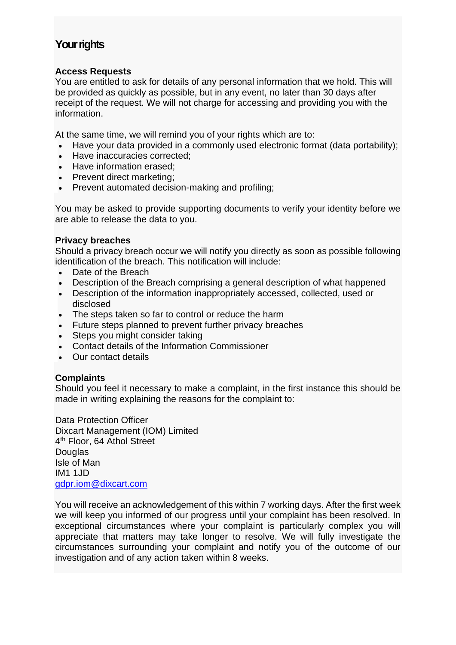## **Your rights**

### **Access Requests**

You are entitled to ask for details of any personal information that we hold. This will be provided as quickly as possible, but in any event, no later than 30 days after receipt of the request. We will not charge for accessing and providing you with the information.

At the same time, we will remind you of your rights which are to:

- Have your data provided in a commonly used electronic format (data portability);
- Have inaccuracies corrected:
- Have information erased;
- Prevent direct marketing;
- Prevent automated decision-making and profiling;

You may be asked to provide supporting documents to verify your identity before we are able to release the data to you.

### **Privacy breaches**

Should a privacy breach occur we will notify you directly as soon as possible following identification of the breach. This notification will include:

- Date of the Breach
- Description of the Breach comprising a general description of what happened
- Description of the information inappropriately accessed, collected, used or disclosed
- The steps taken so far to control or reduce the harm
- Future steps planned to prevent further privacy breaches
- Steps you might consider taking
- Contact details of the Information Commissioner
- Our contact details

#### **Complaints**

Should you feel it necessary to make a complaint, in the first instance this should be made in writing explaining the reasons for the complaint to:

Data Protection Officer Dixcart Management (IOM) Limited 4<sup>th</sup> Floor, 64 Athol Street **Douglas** Isle of Man IM1 1JD [gdpr.iom@dixcart.com](mailto:gdpr.iom@dixcart.com)

You will receive an acknowledgement of this within 7 working days. After the first week we will keep you informed of our progress until your complaint has been resolved. In exceptional circumstances where your complaint is particularly complex you will appreciate that matters may take longer to resolve. We will fully investigate the circumstances surrounding your complaint and notify you of the outcome of our investigation and of any action taken within 8 weeks.